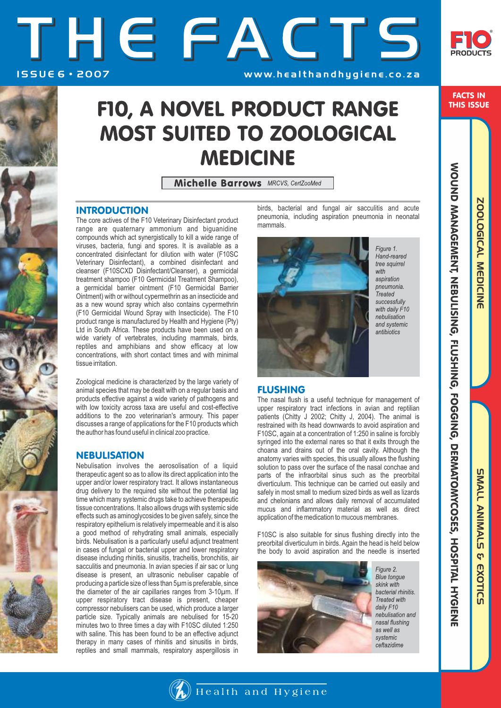FACTS IN THIS ISSUE

THE FACTS ISSUE 6 · 2007 **WWW. healthandhygiene.co.za** 

# FIO, A NOVEL PRODUCT RANGE **MOST SUITED TO ZOOLOGICAL MEDICINE**

Michelle Barrows MRCVS, CertZooMed

## **INTRODUCTION**

The core actives of the F10 Veterinary Disinfectant product range are quaternary ammonium and biguanidine compounds which act synergistically to kill a wide range of viruses, bacteria, fungi and spores. It is available as a concentrated disinfectant for dilution with water (F10SC Veterinary Disinfectant), a combined disinfectant and cleanser (F10SCXD Disinfectant/Cleanser), a germicidal treatment shampoo (F10 Germicidal Treatment Shampoo), a germicidal barrier ointment (F10 Germicidal Barrier Ointment) with or without cypermethrin as an insecticide and as a new wound spray which also contains cypermethrin (F10 Germicidal Wound Spray with Insecticide). The F10 product range is manufactured by Health and Hygiene (Pty) Ltd in South Africa. These products have been used on a wide variety of vertebrates, including mammals, birds, reptiles and amphibians and show efficacy at low concentrations, with short contact times and with minimal tissue irritation.

Zoological medicine is characterized by the large variety of animal species that may be dealt with on a regular basis and products effective against a wide variety of pathogens and with low toxicity across taxa are useful and cost-effective additions to the zoo veterinarian's armoury. This paper discusses a range of applications for the F10 products which the author has found useful in clinical zoo practice.

## **NEBULISATION**

Nebulisation involves the aerosolisation of a liquid therapeutic agent so as to allow its direct application into the upper and/or lower respiratory tract. It allows instantaneous drug delivery to the required site without the potential lag time which many systemic drugs take to achieve therapeutic tissue concentrations. It also allows drugs with systemic side effects such as aminoglycosides to be given safely, since the respiratory epithelium is relatively impermeable and it is also a good method of rehydrating small animals, especially birds. Nebulisation is a particularly useful adjunct treatment in cases of fungal or bacterial upper and lower respiratory disease including rhinitis, sinusitis, tracheitis, bronchitis, air sacculitis and pneumonia. In avian species if air sac or lung disease is present, an ultrasonic nebuliser capable of producing a particle size of less than 5µm is preferable, since the diameter of the air capillaries ranges from 3-10µm. If upper respiratory tract disease is present, cheaper compressor nebulisers can be used, which produce a larger particle size. Typically animals are nebulised for 15-20 minutes two to three times a day with F10SC diluted 1:250 with saline. This has been found to be an effective adjunct therapy in many cases of rhinitis and sinusitis in birds, reptiles and small mammals, respiratory aspergillosis in

birds, bacterial and fungal air sacculitis and acute pneumonia, including aspiration pneumonia in neonatal mammals.



Figure 1. Hand-reared tree squirrel with aspiration  $n$ eumonia **Treated** successfully with daily F10 nebulisation and systemic antibiotics

## FLUSHING

The nasal flush is a useful technique for management of upper respiratory tract infections in avian and reptilian patients (Chitty J 2002; Chitty J, 2004). The animal is restrained with its head downwards to avoid aspiration and F10SC, again at a concentration of 1:250 in saline is forcibly syringed into the external nares so that it exits through the choana and drains out of the oral cavity. Although the anatomy varies with species, this usually allows the flushing solution to pass over the surface of the nasal conchae and parts of the infraorbital sinus such as the preorbital diverticulum. This technique can be carried out easily and safely in most small to medium sized birds as well as lizards and chelonians and allows daily removal of accumulated mucus and inflammatory material as well as direct application of the medication to mucous membranes.

F10SC is also suitable for sinus flushing directly into the preorbital diverticulum in birds. Again the head is held below the body to avoid aspiration and the needle is inserted



Figure 2. **Blue** tongue skink with bacterial rhinitis. Treated with daily F10 nebulisation and nasal flushing as well as systemic ceftazidime

ZOOLOGICAL MEDICINE **SUALL ANIMALS** & EXOTICS

WOUND MANGEMENT, NEBULISING, FLUSHING, FOGGING, DERMATOMYCOSES, HOSPITAL HYGIENI

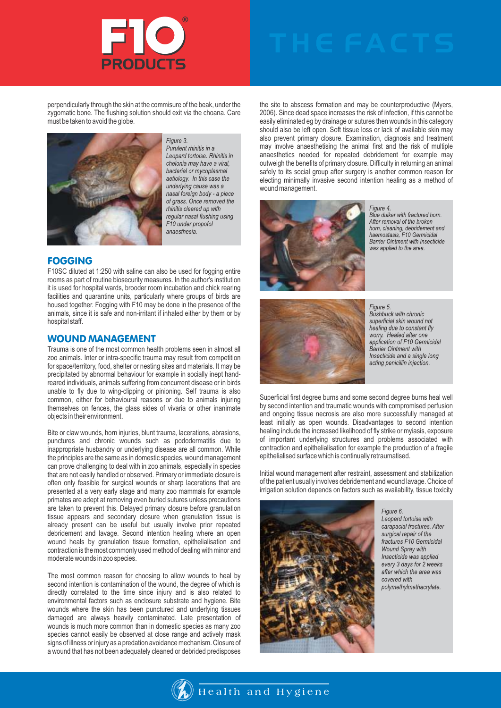

perpendicularly through the skin at the commisure of the beak, under the zygomatic bone. The flushing solution should exit via the choana. Care must be taken to avoid the globe.



Figure 3. Purulent rhinitis in a Leopard tortoise. Rhinitis in chelonia may have a viral. bacterial or mycoplasmal aetiology. In this case the underlying cause was a nasal foreign body - a piece of grass. Once removed the rhinitis cleared up with regular nasal flushing using F10 under propofol anaesthesia.

### FOGGING

F10SC diluted at 1:250 with saline can also be used for fogging entire rooms as part of routine biosecurity measures. In the author's institution it is used for hospital wards, brooder room incubation and chick rearing facilities and quarantine units, particularly where groups of birds are housed together. Fogging with F10 may be done in the presence of the animals, since it is safe and non-irritant if inhaled either by them or by hospital staff.

### WOUND MANAGEMENT

Trauma is one of the most common health problems seen in almost all zoo animals. Inter or intra-specific trauma may result from competition for space/territory, food, shelter or nesting sites and materials. It may be precipitated by abnormal behaviour for example in socially inept handreared individuals, animals suffering from concurrent disease or in birds unable to fly due to wing-clipping or pinioning. Self trauma is also common, either for behavioural reasons or due to animals injuring themselves on fences, the glass sides of vivaria or other inanimate objects in their environment.

Bite or claw wounds, horn injuries, blunt trauma, lacerations, abrasions, punctures and chronic wounds such as pododermatitis due to inappropriate husbandry or underlying disease are all common. While the principles are the same as in domestic species, wound management can prove challenging to deal with in zoo animals, especially in species that are not easily handled or observed. Primary or immediate closure is often only feasible for surgical wounds or sharp lacerations that are presented at a very early stage and many zoo mammals for example primates are adept at removing even buried sutures unless precautions are taken to prevent this. Delayed primary closure before granulation tissue appears and secondary closure when granulation tissue is already present can be useful but usually involve prior repeated debridement and lavage. Second intention healing where an open wound heals by granulation tissue formation, epithelialisation and contraction is the most commonly used method of dealing with minor and moderate wounds in zoo species.

The most common reason for choosing to allow wounds to heal by second intention is contamination of the wound, the degree of which is directly correlated to the time since injury and is also related to environmental factors such as enclosure substrate and hygiene. Bite wounds where the skin has been punctured and underlying tissues damaged are always heavily contaminated. Late presentation of wounds is much more common than in domestic species as many zoo species cannot easily be observed at close range and actively mask signs of illness or injury as a predation avoidance mechanism. Closure of a wound that has not been adequately cleaned or debrided predisposes

the site to abscess formation and may be counterproductive (Myers, 2006). Since dead space increases the risk of infection, if this cannot be easily eliminated eg by drainage or sutures then wounds in this category should also be left open. Soft tissue loss or lack of available skin may also prevent primary closure. Examination, diagnosis and treatment may involve anaesthetising the animal first and the risk of multiple anaesthetics needed for repeated debridement for example may outweigh the benefits of primary closure. Difficulty in returning an animal safely to its social group after surgery is another common reason for electing minimally invasive second intention healing as a method of wound management.



Figure 4. Blue duiker with fractured horn. After removal of the broken horn, cleaning, debridement and haemostasis. F10 Germicidal Barrier Ointment with Insecticide was applied to the area.



Figure 5. Bushbuck with chronic superficial skin wound not healing due to constant fly worry. Healed after one application of F10 Germicidal **Barrier Ointment with** Insecticide and a single long acting penicillin injection.

Superficial first degree burns and some second degree burns heal well by second intention and traumatic wounds with compromised perfusion and ongoing tissue necrosis are also more successfully managed at least initially as open wounds. Disadvantages to second intention healing include the increased likelihood of fly strike or myiasis, exposure of important underlying structures and problems associated with contraction and epithelialisation for example the production of a fragile epithelialised surface which is continually retraumatised.

Initial wound management after restraint, assessment and stabilization of the patient usually involves debridement and wound lavage. Choice of irrigation solution depends on factors such as availability, tissue toxicity



Figure 6. Leopard tortoise with carapacial fractures. After surgical repair of the fractures F10 Germicidal Wound Spray with Insecticide was applied every 3 days for 2 weeks after which the area was covered with polymethylmethacrylate.

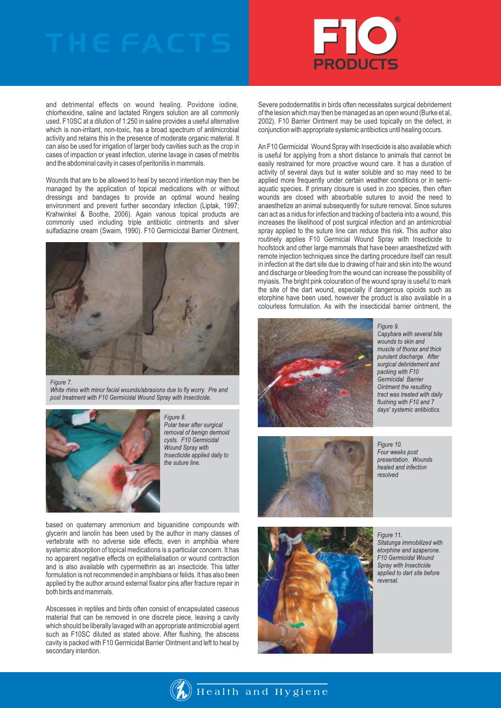

and detrimental effects on wound healing. Povidone iodine, chlorhexidine, saline and lactated Ringers solution are all commonly used. F10SC at a dilution of 1:250 in saline provides a useful alternative which is non-irritant, non-toxic, has a broad spectrum of antimicrobial activity and retains this in the presence of moderate organic material. It can also be used for irrigation of larger body cavities such as the crop in cases of impaction or yeast infection, uterine lavage in cases of metritis and the abdominal cavity in cases of peritonitis in mammals.

Wounds that are to be allowed to heal by second intention may then be managed by the application of topical medications with or without dressings and bandages to provide an optimal wound healing environment and prevent further secondary infection (Liptak, 1997; Krahwinkel & Boothe, 2006). Again various topical products are commonly used including triple antibiotic ointments and silver sulfadiazine cream (Swaim, 1990). F10 Germicicdal Barrier Ointment,



### Figure 7.

White rhino with minor facial wounds/abrasions due to fly worry. Pre and post treatment with F10 Germicidal Wound Spray with Insecticide.



Figure 8. Polar bear after surgical removal of benign dermoid cysts. F10 Germicidal Wound Spray with Insecticide applied daily to the suture line.

based on quaternary ammonium and biguanidine compounds with glycerin and lanolin has been used by the author in many classes of vertebrate with no adverse side effects, even in amphibia where systemic absorption of topical medications is a particular concern. It has no apparent negative effects on epithelialisation or wound contraction and is also available with cypermethrin as an insecticide. This latter formulation is not recommended in amphibians or felids. It has also been applied by the author around external fixator pins after fracture repair in both birds and mammals.

Abscesses in reptiles and birds often consist of encapsulated caseous material that can be removed in one discrete piece, leaving a cavity which should be liberally lavaged with an appropriate antimicrobial agent such as F10SC diluted as stated above. After flushing, the abscess cavity is packed with F10 Germicidal Barrier Ointment and left to heal by secondary intention.

Severe pododermatitis in birds often necessitates surgical debridement of the lesion which may then be managed as an open wound (Burke et al, 2002). F10 Barrier Ointment may be used topically on the defect, in conjunction with appropriate systemic antibiotics until healing occurs.

An F10 Germicidal Wound Spray with Insecticide is also available which is useful for applying from a short distance to animals that cannot be easily restrained for more proactive wound care. It has a duration of activity of several days but is water soluble and so may need to be applied more frequently under certain weather conditions or in semiaquatic species. If primary closure is used in zoo species, then often wounds are closed with absorbable sutures to avoid the need to anaesthetize an animal subsequently for suture removal. Since sutures can act as a nidus for infection and tracking of bacteria into a wound, this increases the likelihood of post surgical infection and an antimicrobial spray applied to the suture line can reduce this risk. This author also routinely applies F10 Germicial Wound Spray with Insecticide to hoofstock and other large mammals that have been anaesthetized with remote injection techniques since the darting procedure itself can result in infection at the dart site due to drawing of hair and skin into the wound and discharge or bleeding from the wound can increase the possibility of myiasis. The bright pink colouration of the wound spray is useful to mark the site of the dart wound, especially if dangerous opioids such as etorphine have been used, however the product is also available in a colourless formulation. As with the insecticidal barrier ointment, the



Figure 9. Capybara with several bite wounds to skin and muscle of thorax and thick purulent diacharge. After surgical debridement and packing with F10 Germicidal Barrier Ointment the resulting tract was treated with daily flushing with F10 and 7 days' systemic antibiotics.



Figure 10. Four weeks post presentation. Wounds healed and infection resolved



Figure 11. Sitatunga immobilized with etorphine and azaperone. F10 Germicidal Wound Spray with Insecticide applied to dart site before reversal.